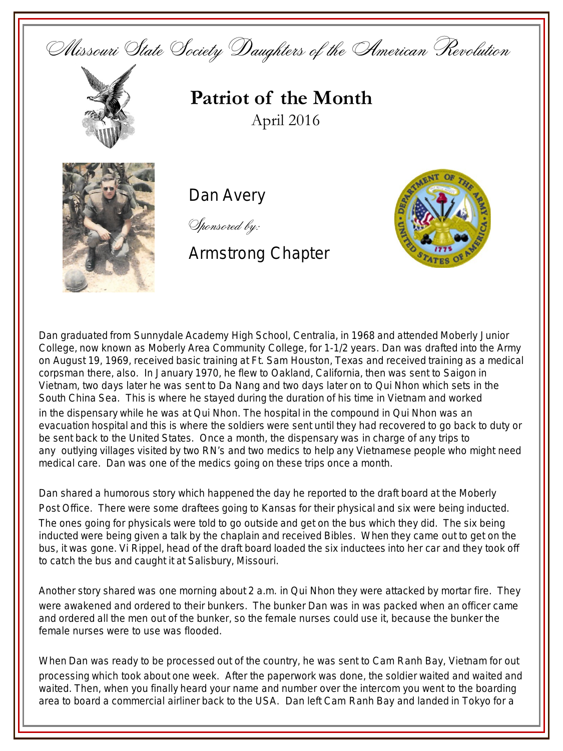



**Patriot of the Month** April 2016



Dan Avery

Sponsored by:

## Armstrong Chapter



Dan graduated from Sunnydale Academy High School, Centralia, in 1968 and attended Moberly Junior College, now known as Moberly Area Community College, for 1-1/2 years. Dan was drafted into the Army on August 19, 1969, received basic training at Ft. Sam Houston, Texas and received training as a medical corpsman there, also. In January 1970, he flew to Oakland, California, then was sent to Saigon in Vietnam, two days later he was sent to Da Nang and two days later on to Qui Nhon which sets in the South China Sea. This is where he stayed during the duration of his time in Vietnam and worked in the dispensary while he was at Qui Nhon. The hospital in the compound in Qui Nhon was an evacuation hospital and this is where the soldiers were sent until they had recovered to go back to duty or be sent back to the United States. Once a month, the dispensary was in charge of any trips to any outlying villages visited by two RN's and two medics to help any Vietnamese people who might need medical care. Dan was one of the medics going on these trips once a month.

Dan shared a humorous story which happened the day he reported to the draft board at the Moberly Post Office. There were some draftees going to Kansas for their physical and six were being inducted. The ones going for physicals were told to go outside and get on the bus which they did. The six being inducted were being given a talk by the chaplain and received Bibles. When they came out to get on the bus, it was gone. Vi Rippel, head of the draft board loaded the six inductees into her car and they took off to catch the bus and caught it at Salisbury, Missouri.

Another story shared was one morning about 2 a.m. in Qui Nhon they were attacked by mortar fire. They were awakened and ordered to their bunkers. The bunker Dan was in was packed when an officer came and ordered all the men out of the bunker, so the female nurses could use it, because the bunker the female nurses were to use was flooded.

When Dan was ready to be processed out of the country, he was sent to Cam Ranh Bay, Vietnam for out processing which took about one week. After the paperwork was done, the soldier waited and waited and waited. Then, when you finally heard your name and number over the intercom you went to the boarding area to board a commercial airliner back to the USA. Dan left Cam Ranh Bay and landed in Tokyo for a